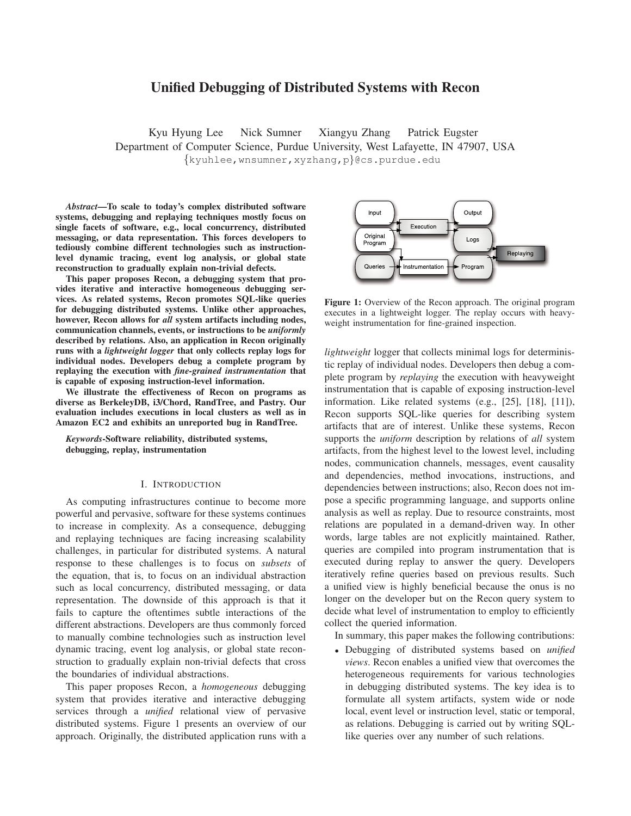# **Unified Debugging of Distributed Systems with Recon**

Kyu Hyung Lee Nick Sumner Xiangyu Zhang Patrick Eugster Department of Computer Science, Purdue University, West Lafayette, IN 47907, USA {kyuhlee,wnsumner,xyzhang,p}@cs.purdue.edu

*Abstract***—To scale to today's complex distributed software systems, debugging and replaying techniques mostly focus on single facets of software, e.g., local concurrency, distributed messaging, or data representation. This forces developers to tediously combine different technologies such as instructionlevel dynamic tracing, event log analysis, or global state reconstruction to gradually explain non-trivial defects.**

**This paper proposes Recon, a debugging system that provides iterative and interactive homogeneous debugging services. As related systems, Recon promotes SQL-like queries for debugging distributed systems. Unlike other approaches, however, Recon allows for** *all* **system artifacts including nodes, communication channels, events, or instructions to be** *uniformly* **described by relations. Also, an application in Recon originally runs with a** *lightweight logger* **that only collects replay logs for individual nodes. Developers debug a complete program by replaying the execution with** *fine-grained instrumentation* **that is capable of exposing instruction-level information.**

**We illustrate the effectiveness of Recon on programs as diverse as BerkeleyDB, i3/Chord, RandTree, and Pastry. Our evaluation includes executions in local clusters as well as in Amazon EC2 and exhibits an unreported bug in RandTree.**

*Keywords***-Software reliability, distributed systems, debugging, replay, instrumentation**

### I. INTRODUCTION

As computing infrastructures continue to become more powerful and pervasive, software for these systems continues to increase in complexity. As a consequence, debugging and replaying techniques are facing increasing scalability challenges, in particular for distributed systems. A natural response to these challenges is to focus on *subsets* of the equation, that is, to focus on an individual abstraction such as local concurrency, distributed messaging, or data representation. The downside of this approach is that it fails to capture the oftentimes subtle interactions of the different abstractions. Developers are thus commonly forced to manually combine technologies such as instruction level dynamic tracing, event log analysis, or global state reconstruction to gradually explain non-trivial defects that cross the boundaries of individual abstractions.

This paper proposes Recon, a *homogeneous* debugging system that provides iterative and interactive debugging services through a *unified* relational view of pervasive distributed systems. Figure 1 presents an overview of our approach. Originally, the distributed application runs with a



**Figure 1:** Overview of the Recon approach. The original program executes in a lightweight logger. The replay occurs with heavyweight instrumentation for fine-grained inspection.

*lightweight* logger that collects minimal logs for deterministic replay of individual nodes. Developers then debug a complete program by *replaying* the execution with heavyweight instrumentation that is capable of exposing instruction-level information. Like related systems (e.g., [25], [18], [11]), Recon supports SQL-like queries for describing system artifacts that are of interest. Unlike these systems, Recon supports the *uniform* description by relations of *all* system artifacts, from the highest level to the lowest level, including nodes, communication channels, messages, event causality and dependencies, method invocations, instructions, and dependencies between instructions; also, Recon does not impose a specific programming language, and supports online analysis as well as replay. Due to resource constraints, most relations are populated in a demand-driven way. In other words, large tables are not explicitly maintained. Rather, queries are compiled into program instrumentation that is executed during replay to answer the query. Developers iteratively refine queries based on previous results. Such a unified view is highly beneficial because the onus is no longer on the developer but on the Recon query system to decide what level of instrumentation to employ to efficiently collect the queried information.

In summary, this paper makes the following contributions:

• Debugging of distributed systems based on *unified views*. Recon enables a unified view that overcomes the heterogeneous requirements for various technologies in debugging distributed systems. The key idea is to formulate all system artifacts, system wide or node local, event level or instruction level, static or temporal, as relations. Debugging is carried out by writing SQLlike queries over any number of such relations.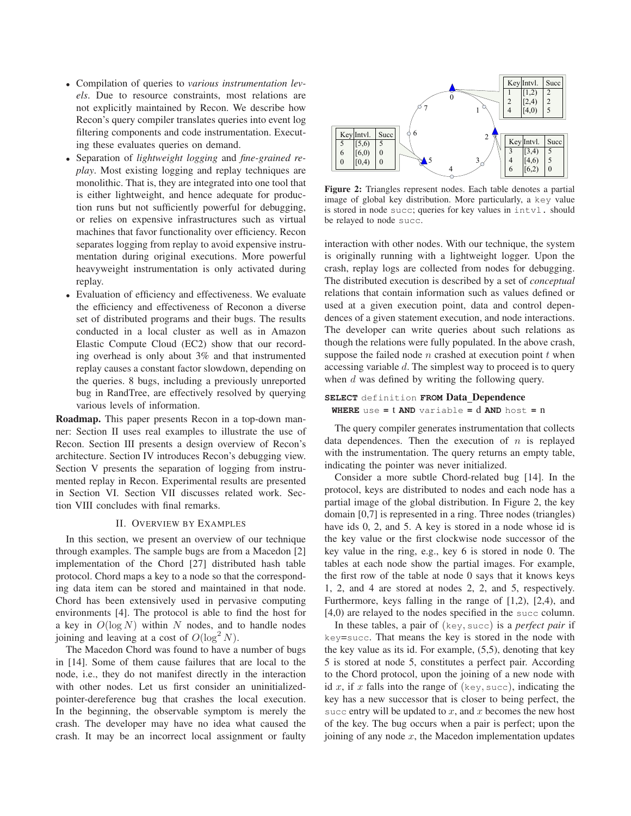- Compilation of queries to *various instrumentation levels*. Due to resource constraints, most relations are not explicitly maintained by Recon. We describe how Recon's query compiler translates queries into event log filtering components and code instrumentation. Executing these evaluates queries on demand.
- Separation of *lightweight logging* and *fine-grained replay*. Most existing logging and replay techniques are monolithic. That is, they are integrated into one tool that is either lightweight, and hence adequate for production runs but not sufficiently powerful for debugging, or relies on expensive infrastructures such as virtual machines that favor functionality over efficiency. Recon separates logging from replay to avoid expensive instrumentation during original executions. More powerful heavyweight instrumentation is only activated during replay.
- Evaluation of efficiency and effectiveness. We evaluate the efficiency and effectiveness of Reconon a diverse set of distributed programs and their bugs. The results conducted in a local cluster as well as in Amazon Elastic Compute Cloud (EC2) show that our recording overhead is only about 3% and that instrumented replay causes a constant factor slowdown, depending on the queries. 8 bugs, including a previously unreported bug in RandTree, are effectively resolved by querying various levels of information.

**Roadmap.** This paper presents Recon in a top-down manner: Section II uses real examples to illustrate the use of Recon. Section III presents a design overview of Recon's architecture. Section IV introduces Recon's debugging view. Section V presents the separation of logging from instrumented replay in Recon. Experimental results are presented in Section VI. Section VII discusses related work. Section VIII concludes with final remarks.

#### II. OVERVIEW BY EXAMPLES

In this section, we present an overview of our technique through examples. The sample bugs are from a Macedon [2] implementation of the Chord [27] distributed hash table protocol. Chord maps a key to a node so that the corresponding data item can be stored and maintained in that node. Chord has been extensively used in pervasive computing environments [4]. The protocol is able to find the host for a key in  $O(\log N)$  within N nodes, and to handle nodes joining and leaving at a cost of  $O(\log^2 N)$ .

The Macedon Chord was found to have a number of bugs in [14]. Some of them cause failures that are local to the node, i.e., they do not manifest directly in the interaction with other nodes. Let us first consider an uninitializedpointer-dereference bug that crashes the local execution. In the beginning, the observable symptom is merely the crash. The developer may have no idea what caused the crash. It may be an incorrect local assignment or faulty



**Figure 2:** Triangles represent nodes. Each table denotes a partial image of global key distribution. More particularly, a key value is stored in node succ; queries for key values in intvl. should be relayed to node succ.

interaction with other nodes. With our technique, the system is originally running with a lightweight logger. Upon the crash, replay logs are collected from nodes for debugging. The distributed execution is described by a set of *conceptual* relations that contain information such as values defined or used at a given execution point, data and control dependences of a given statement execution, and node interactions. The developer can write queries about such relations as though the relations were fully populated. In the above crash, suppose the failed node  $n$  crashed at execution point  $t$  when accessing variable d. The simplest way to proceed is to query when  $d$  was defined by writing the following query.

# **SELECT** definition **FROM Data Dependence WHERE** use **=** t **AND** variable **=** d **AND** host **=** n

The query compiler generates instrumentation that collects data dependences. Then the execution of  $n$  is replayed with the instrumentation. The query returns an empty table, indicating the pointer was never initialized.

Consider a more subtle Chord-related bug [14]. In the protocol, keys are distributed to nodes and each node has a partial image of the global distribution. In Figure 2, the key domain [0,7] is represented in a ring. Three nodes (triangles) have ids 0, 2, and 5. A key is stored in a node whose id is the key value or the first clockwise node successor of the key value in the ring, e.g., key 6 is stored in node 0. The tables at each node show the partial images. For example, the first row of the table at node 0 says that it knows keys 1, 2, and 4 are stored at nodes 2, 2, and 5, respectively. Furthermore, keys falling in the range of [1,2), [2,4), and [4,0) are relayed to the nodes specified in the succ column.

In these tables, a pair of (key, succ) is a *perfect pair* if key=succ. That means the key is stored in the node with the key value as its id. For example, (5,5), denoting that key 5 is stored at node 5, constitutes a perfect pair. According to the Chord protocol, upon the joining of a new node with id x, if x falls into the range of  $(\text{key}, \text{succ})$ , indicating the key has a new successor that is closer to being perfect, the succ entry will be updated to x, and x becomes the new host of the key. The bug occurs when a pair is perfect; upon the joining of any node  $x$ , the Macedon implementation updates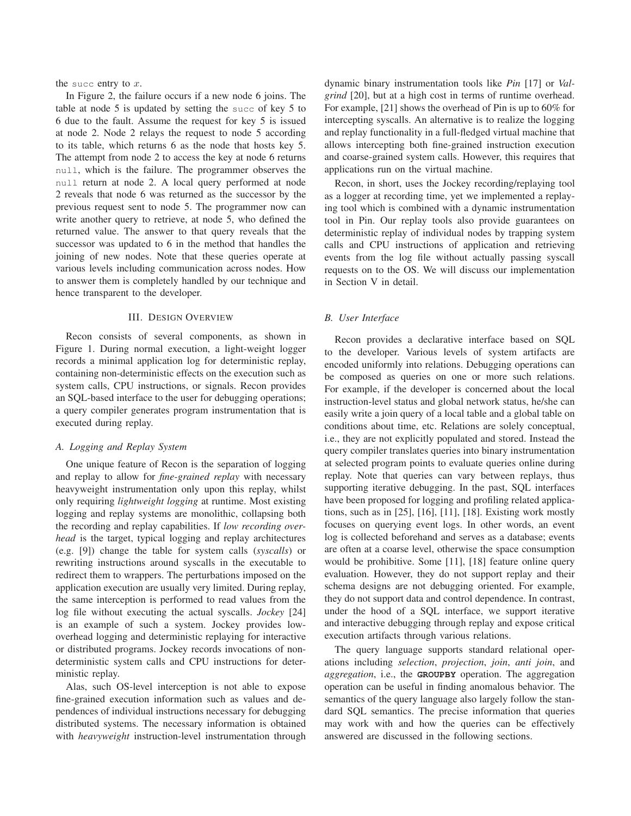the succentry to  $x$ .

In Figure 2, the failure occurs if a new node 6 joins. The table at node 5 is updated by setting the succ of key 5 to 6 due to the fault. Assume the request for key 5 is issued at node 2. Node 2 relays the request to node 5 according to its table, which returns 6 as the node that hosts key 5. The attempt from node 2 to access the key at node 6 returns null, which is the failure. The programmer observes the null return at node 2. A local query performed at node 2 reveals that node 6 was returned as the successor by the previous request sent to node 5. The programmer now can write another query to retrieve, at node 5, who defined the returned value. The answer to that query reveals that the successor was updated to 6 in the method that handles the joining of new nodes. Note that these queries operate at various levels including communication across nodes. How to answer them is completely handled by our technique and hence transparent to the developer.

# III. DESIGN OVERVIEW

Recon consists of several components, as shown in Figure 1. During normal execution, a light-weight logger records a minimal application log for deterministic replay, containing non-deterministic effects on the execution such as system calls, CPU instructions, or signals. Recon provides an SQL-based interface to the user for debugging operations; a query compiler generates program instrumentation that is executed during replay.

# *A. Logging and Replay System*

One unique feature of Recon is the separation of logging and replay to allow for *fine-grained replay* with necessary heavyweight instrumentation only upon this replay, whilst only requiring *lightweight logging* at runtime. Most existing logging and replay systems are monolithic, collapsing both the recording and replay capabilities. If *low recording overhead* is the target, typical logging and replay architectures (e.g. [9]) change the table for system calls (*syscalls*) or rewriting instructions around syscalls in the executable to redirect them to wrappers. The perturbations imposed on the application execution are usually very limited. During replay, the same interception is performed to read values from the log file without executing the actual syscalls. *Jockey* [24] is an example of such a system. Jockey provides lowoverhead logging and deterministic replaying for interactive or distributed programs. Jockey records invocations of nondeterministic system calls and CPU instructions for deterministic replay.

Alas, such OS-level interception is not able to expose fine-grained execution information such as values and dependences of individual instructions necessary for debugging distributed systems. The necessary information is obtained with *heavyweight* instruction-level instrumentation through dynamic binary instrumentation tools like *Pin* [17] or *Valgrind* [20], but at a high cost in terms of runtime overhead. For example, [21] shows the overhead of Pin is up to 60% for intercepting syscalls. An alternative is to realize the logging and replay functionality in a full-fledged virtual machine that allows intercepting both fine-grained instruction execution and coarse-grained system calls. However, this requires that applications run on the virtual machine.

Recon, in short, uses the Jockey recording/replaying tool as a logger at recording time, yet we implemented a replaying tool which is combined with a dynamic instrumentation tool in Pin. Our replay tools also provide guarantees on deterministic replay of individual nodes by trapping system calls and CPU instructions of application and retrieving events from the log file without actually passing syscall requests on to the OS. We will discuss our implementation in Section V in detail.

# *B. User Interface*

Recon provides a declarative interface based on SQL to the developer. Various levels of system artifacts are encoded uniformly into relations. Debugging operations can be composed as queries on one or more such relations. For example, if the developer is concerned about the local instruction-level status and global network status, he/she can easily write a join query of a local table and a global table on conditions about time, etc. Relations are solely conceptual, i.e., they are not explicitly populated and stored. Instead the query compiler translates queries into binary instrumentation at selected program points to evaluate queries online during replay. Note that queries can vary between replays, thus supporting iterative debugging. In the past, SQL interfaces have been proposed for logging and profiling related applications, such as in [25], [16], [11], [18]. Existing work mostly focuses on querying event logs. In other words, an event log is collected beforehand and serves as a database; events are often at a coarse level, otherwise the space consumption would be prohibitive. Some [11], [18] feature online query evaluation. However, they do not support replay and their schema designs are not debugging oriented. For example, they do not support data and control dependence. In contrast, under the hood of a SQL interface, we support iterative and interactive debugging through replay and expose critical execution artifacts through various relations.

The query language supports standard relational operations including *selection*, *projection*, *join*, *anti join*, and *aggregation*, i.e., the **GROUPBY** operation. The aggregation operation can be useful in finding anomalous behavior. The semantics of the query language also largely follow the standard SQL semantics. The precise information that queries may work with and how the queries can be effectively answered are discussed in the following sections.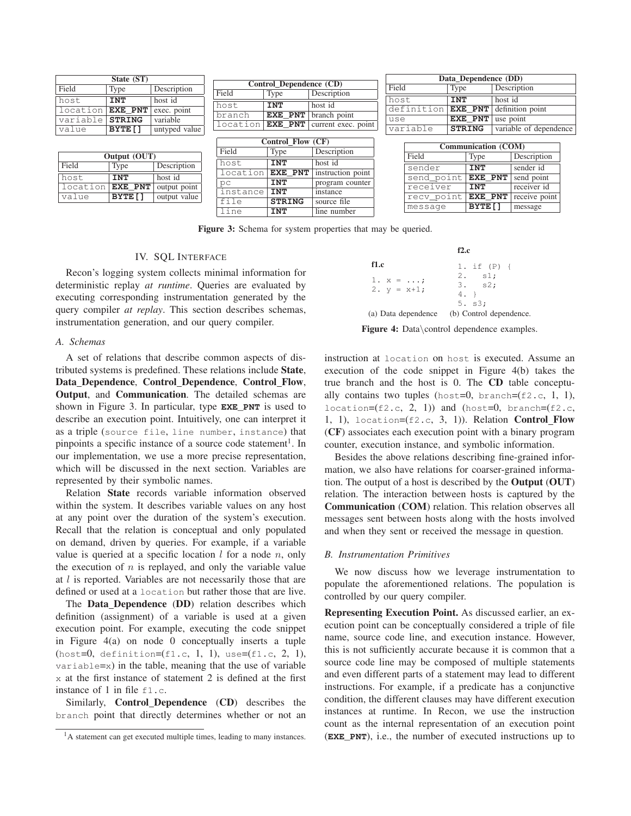| State (ST)        |                               |                              | Control Dependence (CD)                      |                   |                   |                            | Data Dependence (DD)   |                             |                        |                              |  |
|-------------------|-------------------------------|------------------------------|----------------------------------------------|-------------------|-------------------|----------------------------|------------------------|-----------------------------|------------------------|------------------------------|--|
| Field             | Type                          | Description                  | Field                                        |                   |                   | Field                      |                        | Type                        |                        | Description                  |  |
| host              | <b>INT</b>                    | host id                      | Type                                         |                   | Description       | host                       |                        | <b>INT</b>                  |                        | host id                      |  |
| location          | EXE PNT                       | exec. point                  | host                                         | <b>INT</b>        | host id           |                            | definition             | definition point<br>EXE PNT |                        |                              |  |
| variable          | <b>STRING</b>                 | variable                     | branch                                       | EXE PNT           | branch point      | use                        | EXE PNT                |                             |                        | use point                    |  |
| value             | BYTE <sup>[]</sup>            | untyped value                | EXE PNT<br>location  <br>current exec. point |                   |                   | variable                   |                        |                             | variable of dependence |                              |  |
|                   |                               |                              |                                              |                   |                   |                            |                        | <b>STRING</b>               |                        |                              |  |
|                   |                               |                              |                                              |                   |                   | <b>Communication (COM)</b> |                        |                             |                        |                              |  |
|                   |                               |                              |                                              | Control Flow (CF) |                   |                            |                        |                             |                        |                              |  |
|                   |                               |                              |                                              |                   |                   |                            |                        |                             |                        |                              |  |
|                   | Output (OUT)                  |                              | Field                                        | Type              | Description       |                            | Field                  | Type                        |                        | Description                  |  |
| Field             | Type                          | Description                  | host                                         | <b>INT</b>        | host id           |                            |                        | <b>INT</b>                  |                        |                              |  |
|                   |                               |                              | location                                     | EXE PNT           | instruction point |                            | sender                 |                             |                        | sender id                    |  |
| host              | <b>INT</b>                    | host id                      | рc                                           | <b>INT</b>        | program counter   |                            | send_point             |                             | EXE PNT                | send point                   |  |
| location<br>value | EXE PNT<br>BYTE <sup>[]</sup> | output point<br>output value | instance                                     | <b>INT</b>        | instance          |                            | receiver<br>recv_point | <b>INT</b>                  | EXE PNT                | receiver id<br>receive point |  |

**Figure 3:** Schema for system properties that may be queried.

file **STRING** source file line **INT** line number

### IV. SQL INTERFACE

Recon's logging system collects minimal information for deterministic replay *at runtime*. Queries are evaluated by executing corresponding instrumentation generated by the query compiler *at replay*. This section describes schemas, instrumentation generation, and our query compiler.

#### *A. Schemas*

A set of relations that describe common aspects of distributed systems is predefined. These relations include **State**, **Data Dependence**, **Control Dependence**, **Control Flow**, **Output**, and **Communication**. The detailed schemas are shown in Figure 3. In particular, type **EXE\_PNT** is used to describe an execution point. Intuitively, one can interpret it as a triple (source file, line number, instance) that pinpoints a specific instance of a source code statement<sup>1</sup>. In our implementation, we use a more precise representation, which will be discussed in the next section. Variables are represented by their symbolic names.

Relation **State** records variable information observed within the system. It describes variable values on any host at any point over the duration of the system's execution. Recall that the relation is conceptual and only populated on demand, driven by queries. For example, if a variable value is queried at a specific location  $l$  for a node  $n$ , only the execution of  $n$  is replayed, and only the variable value at l is reported. Variables are not necessarily those that are defined or used at a location but rather those that are live.

The **Data Dependence** (**DD**) relation describes which definition (assignment) of a variable is used at a given execution point. For example, executing the code snippet in Figure 4(a) on node 0 conceptually inserts a tuple (host=0, definition= $(f1.c, 1, 1)$ , use= $(f1.c, 2, 1)$ , variable=x) in the table, meaning that the use of variable x at the first instance of statement 2 is defined at the first instance of 1 in file f1.c.

Similarly, **Control Dependence** (**CD**) describes the branch point that directly determines whether or not an



message **BYTE[]** message

Figure 4: Data\control dependence examples.

instruction at location on host is executed. Assume an execution of the code snippet in Figure 4(b) takes the true branch and the host is 0. The **CD** table conceptually contains two tuples (host=0, branch= $(f2.c, 1, 1)$ , location= $(f2.c, 2, 1)$ ) and (host=0, branch= $(f2.c, 1)$ 1, 1), location=(f2.c, 3, 1)). Relation **Control Flow** (**CF**) associates each execution point with a binary program counter, execution instance, and symbolic information.

Besides the above relations describing fine-grained information, we also have relations for coarser-grained information. The output of a host is described by the **Output** (**OUT**) relation. The interaction between hosts is captured by the **Communication** (**COM**) relation. This relation observes all messages sent between hosts along with the hosts involved and when they sent or received the message in question.

## *B. Instrumentation Primitives*

We now discuss how we leverage instrumentation to populate the aforementioned relations. The population is controlled by our query compiler.

**Representing Execution Point.** As discussed earlier, an execution point can be conceptually considered a triple of file name, source code line, and execution instance. However, this is not sufficiently accurate because it is common that a source code line may be composed of multiple statements and even different parts of a statement may lead to different instructions. For example, if a predicate has a conjunctive condition, the different clauses may have different execution instances at runtime. In Recon, we use the instruction count as the internal representation of an execution point (**EXE\_PNT**), i.e., the number of executed instructions up to

<sup>&</sup>lt;sup>1</sup>A statement can get executed multiple times, leading to many instances.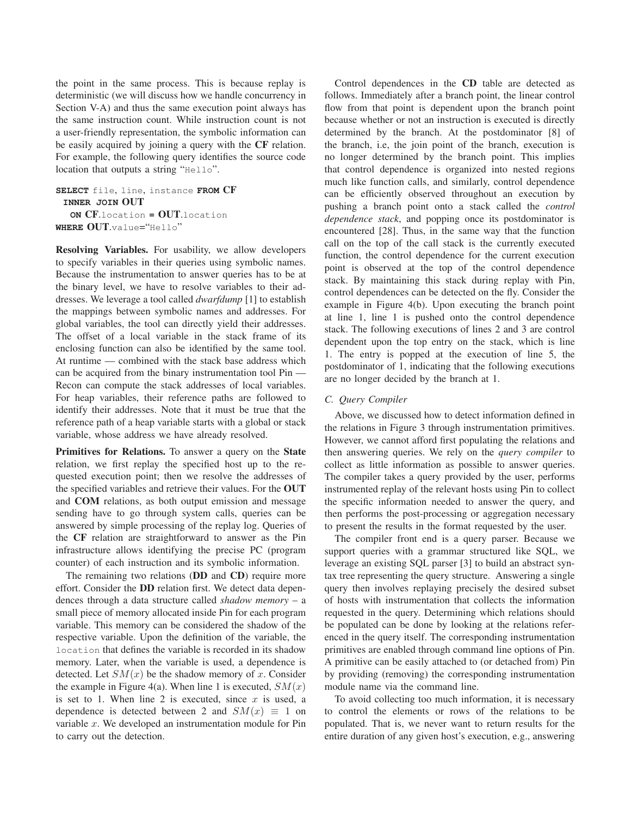the point in the same process. This is because replay is deterministic (we will discuss how we handle concurrency in Section V-A) and thus the same execution point always has the same instruction count. While instruction count is not a user-friendly representation, the symbolic information can be easily acquired by joining a query with the **CF** relation. For example, the following query identifies the source code location that outputs a string "Hello".

**SELECT** file, line, instance **FROM CF INNER JOIN OUT ON CF**.location **= OUT**.location

**WHERE OUT**.value="Hello"

**Resolving Variables.** For usability, we allow developers to specify variables in their queries using symbolic names. Because the instrumentation to answer queries has to be at the binary level, we have to resolve variables to their addresses. We leverage a tool called *dwarfdump* [1] to establish the mappings between symbolic names and addresses. For global variables, the tool can directly yield their addresses. The offset of a local variable in the stack frame of its enclosing function can also be identified by the same tool. At runtime — combined with the stack base address which can be acquired from the binary instrumentation tool Pin — Recon can compute the stack addresses of local variables. For heap variables, their reference paths are followed to identify their addresses. Note that it must be true that the reference path of a heap variable starts with a global or stack variable, whose address we have already resolved.

**Primitives for Relations.** To answer a query on the **State** relation, we first replay the specified host up to the requested execution point; then we resolve the addresses of the specified variables and retrieve their values. For the **OUT** and **COM** relations, as both output emission and message sending have to go through system calls, queries can be answered by simple processing of the replay log. Queries of the **CF** relation are straightforward to answer as the Pin infrastructure allows identifying the precise PC (program counter) of each instruction and its symbolic information.

The remaining two relations (**DD** and **CD**) require more effort. Consider the **DD** relation first. We detect data dependences through a data structure called *shadow memory* – a small piece of memory allocated inside Pin for each program variable. This memory can be considered the shadow of the respective variable. Upon the definition of the variable, the location that defines the variable is recorded in its shadow memory. Later, when the variable is used, a dependence is detected. Let  $SM(x)$  be the shadow memory of x. Consider the example in Figure 4(a). When line 1 is executed,  $SM(x)$ is set to 1. When line 2 is executed, since  $x$  is used, a dependence is detected between 2 and  $SM(x) \equiv 1$  on variable x. We developed an instrumentation module for Pin to carry out the detection.

Control dependences in the **CD** table are detected as follows. Immediately after a branch point, the linear control flow from that point is dependent upon the branch point because whether or not an instruction is executed is directly determined by the branch. At the postdominator [8] of the branch, i.e, the join point of the branch, execution is no longer determined by the branch point. This implies that control dependence is organized into nested regions much like function calls, and similarly, control dependence can be efficiently observed throughout an execution by pushing a branch point onto a stack called the *control dependence stack*, and popping once its postdominator is encountered [28]. Thus, in the same way that the function call on the top of the call stack is the currently executed function, the control dependence for the current execution point is observed at the top of the control dependence stack. By maintaining this stack during replay with Pin, control dependences can be detected on the fly. Consider the example in Figure 4(b). Upon executing the branch point at line 1, line 1 is pushed onto the control dependence stack. The following executions of lines 2 and 3 are control dependent upon the top entry on the stack, which is line 1. The entry is popped at the execution of line 5, the postdominator of 1, indicating that the following executions are no longer decided by the branch at 1.

# *C. Query Compiler*

Above, we discussed how to detect information defined in the relations in Figure 3 through instrumentation primitives. However, we cannot afford first populating the relations and then answering queries. We rely on the *query compiler* to collect as little information as possible to answer queries. The compiler takes a query provided by the user, performs instrumented replay of the relevant hosts using Pin to collect the specific information needed to answer the query, and then performs the post-processing or aggregation necessary to present the results in the format requested by the user.

The compiler front end is a query parser. Because we support queries with a grammar structured like SQL, we leverage an existing SQL parser [3] to build an abstract syntax tree representing the query structure. Answering a single query then involves replaying precisely the desired subset of hosts with instrumentation that collects the information requested in the query. Determining which relations should be populated can be done by looking at the relations referenced in the query itself. The corresponding instrumentation primitives are enabled through command line options of Pin. A primitive can be easily attached to (or detached from) Pin by providing (removing) the corresponding instrumentation module name via the command line.

To avoid collecting too much information, it is necessary to control the elements or rows of the relations to be populated. That is, we never want to return results for the entire duration of any given host's execution, e.g., answering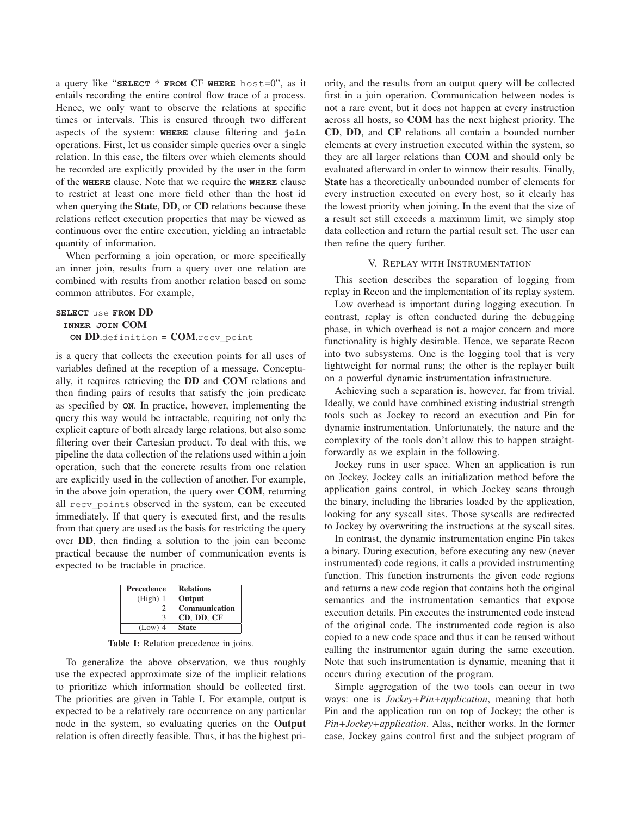a query like "**SELECT** \* **FROM** CF **WHERE** host=0", as it entails recording the entire control flow trace of a process. Hence, we only want to observe the relations at specific times or intervals. This is ensured through two different aspects of the system: **WHERE** clause filtering and **join** operations. First, let us consider simple queries over a single relation. In this case, the filters over which elements should be recorded are explicitly provided by the user in the form of the **WHERE** clause. Note that we require the **WHERE** clause to restrict at least one more field other than the host id when querying the **State**, **DD**, or **CD** relations because these relations reflect execution properties that may be viewed as continuous over the entire execution, yielding an intractable quantity of information.

When performing a join operation, or more specifically an inner join, results from a query over one relation are combined with results from another relation based on some common attributes. For example,

```
SELECT use FROM DD
INNER JOIN COM
 ON DD.definition = COM.recv_point
```
is a query that collects the execution points for all uses of variables defined at the reception of a message. Conceptually, it requires retrieving the **DD** and **COM** relations and then finding pairs of results that satisfy the join predicate as specified by **ON**. In practice, however, implementing the query this way would be intractable, requiring not only the explicit capture of both already large relations, but also some filtering over their Cartesian product. To deal with this, we pipeline the data collection of the relations used within a join operation, such that the concrete results from one relation are explicitly used in the collection of another. For example, in the above join operation, the query over **COM**, returning all recv\_points observed in the system, can be executed immediately. If that query is executed first, and the results from that query are used as the basis for restricting the query over **DD**, then finding a solution to the join can become practical because the number of communication events is expected to be tractable in practice.

| Precedence | <b>Relations</b>     |
|------------|----------------------|
| $(High)$ 1 | Output               |
|            | <b>Communication</b> |
|            | CD, DD, CF           |
| $(Low)$ 4  | <b>State</b>         |

**Table I:** Relation precedence in joins.

To generalize the above observation, we thus roughly use the expected approximate size of the implicit relations to prioritize which information should be collected first. The priorities are given in Table I. For example, output is expected to be a relatively rare occurrence on any particular node in the system, so evaluating queries on the **Output** relation is often directly feasible. Thus, it has the highest priority, and the results from an output query will be collected first in a join operation. Communication between nodes is not a rare event, but it does not happen at every instruction across all hosts, so **COM** has the next highest priority. The **CD**, **DD**, and **CF** relations all contain a bounded number elements at every instruction executed within the system, so they are all larger relations than **COM** and should only be evaluated afterward in order to winnow their results. Finally, **State** has a theoretically unbounded number of elements for every instruction executed on every host, so it clearly has the lowest priority when joining. In the event that the size of a result set still exceeds a maximum limit, we simply stop data collection and return the partial result set. The user can then refine the query further.

## V. REPLAY WITH INSTRUMENTATION

This section describes the separation of logging from replay in Recon and the implementation of its replay system.

Low overhead is important during logging execution. In contrast, replay is often conducted during the debugging phase, in which overhead is not a major concern and more functionality is highly desirable. Hence, we separate Recon into two subsystems. One is the logging tool that is very lightweight for normal runs; the other is the replayer built on a powerful dynamic instrumentation infrastructure.

Achieving such a separation is, however, far from trivial. Ideally, we could have combined existing industrial strength tools such as Jockey to record an execution and Pin for dynamic instrumentation. Unfortunately, the nature and the complexity of the tools don't allow this to happen straightforwardly as we explain in the following.

Jockey runs in user space. When an application is run on Jockey, Jockey calls an initialization method before the application gains control, in which Jockey scans through the binary, including the libraries loaded by the application, looking for any syscall sites. Those syscalls are redirected to Jockey by overwriting the instructions at the syscall sites.

In contrast, the dynamic instrumentation engine Pin takes a binary. During execution, before executing any new (never instrumented) code regions, it calls a provided instrumenting function. This function instruments the given code regions and returns a new code region that contains both the original semantics and the instrumentation semantics that expose execution details. Pin executes the instrumented code instead of the original code. The instrumented code region is also copied to a new code space and thus it can be reused without calling the instrumentor again during the same execution. Note that such instrumentation is dynamic, meaning that it occurs during execution of the program.

Simple aggregation of the two tools can occur in two ways: one is *Jockey+Pin+application*, meaning that both Pin and the application run on top of Jockey; the other is *Pin+Jockey+application*. Alas, neither works. In the former case, Jockey gains control first and the subject program of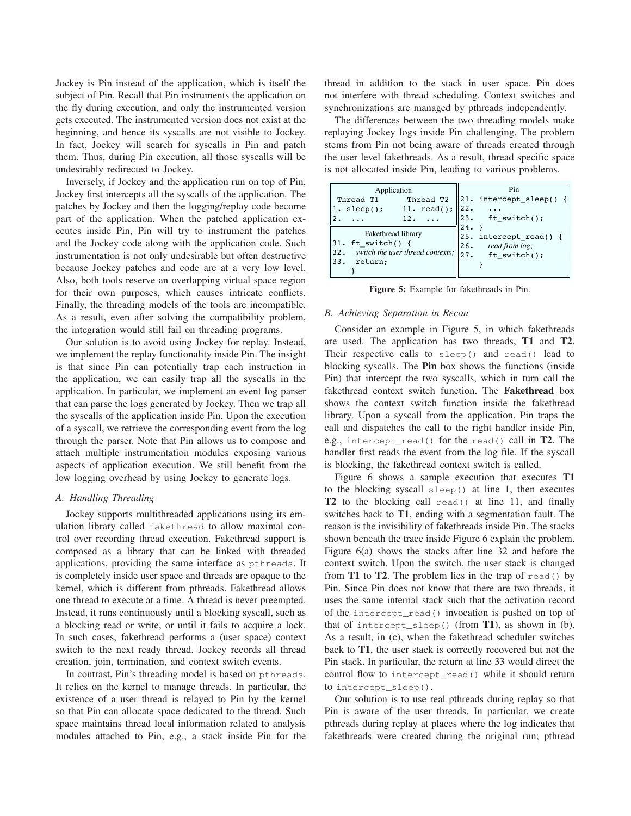Jockey is Pin instead of the application, which is itself the subject of Pin. Recall that Pin instruments the application on the fly during execution, and only the instrumented version gets executed. The instrumented version does not exist at the beginning, and hence its syscalls are not visible to Jockey. In fact, Jockey will search for syscalls in Pin and patch them. Thus, during Pin execution, all those syscalls will be undesirably redirected to Jockey.

Inversely, if Jockey and the application run on top of Pin, Jockey first intercepts all the syscalls of the application. The patches by Jockey and then the logging/replay code become part of the application. When the patched application executes inside Pin, Pin will try to instrument the patches and the Jockey code along with the application code. Such instrumentation is not only undesirable but often destructive because Jockey patches and code are at a very low level. Also, both tools reserve an overlapping virtual space region for their own purposes, which causes intricate conflicts. Finally, the threading models of the tools are incompatible. As a result, even after solving the compatibility problem, the integration would still fail on threading programs.

Our solution is to avoid using Jockey for replay. Instead, we implement the replay functionality inside Pin. The insight is that since Pin can potentially trap each instruction in the application, we can easily trap all the syscalls in the application. In particular, we implement an event log parser that can parse the logs generated by Jockey. Then we trap all the syscalls of the application inside Pin. Upon the execution of a syscall, we retrieve the corresponding event from the log through the parser. Note that Pin allows us to compose and attach multiple instrumentation modules exposing various aspects of application execution. We still benefit from the low logging overhead by using Jockey to generate logs.

# *A. Handling Threading*

Jockey supports multithreaded applications using its emulation library called fakethread to allow maximal control over recording thread execution. Fakethread support is composed as a library that can be linked with threaded applications, providing the same interface as pthreads. It is completely inside user space and threads are opaque to the kernel, which is different from pthreads. Fakethread allows one thread to execute at a time. A thread is never preempted. Instead, it runs continuously until a blocking syscall, such as a blocking read or write, or until it fails to acquire a lock. In such cases, fakethread performs a (user space) context switch to the next ready thread. Jockey records all thread creation, join, termination, and context switch events.

In contrast, Pin's threading model is based on pthreads. It relies on the kernel to manage threads. In particular, the existence of a user thread is relayed to Pin by the kernel so that Pin can allocate space dedicated to the thread. Such space maintains thread local information related to analysis modules attached to Pin, e.g., a stack inside Pin for the thread in addition to the stack in user space. Pin does not interfere with thread scheduling. Context switches and synchronizations are managed by pthreads independently.

The differences between the two threading models make replaying Jockey logs inside Pin challenging. The problem stems from Pin not being aware of threads created through the user level fakethreads. As a result, thread specific space is not allocated inside Pin, leading to various problems.

|                                        | Application                                                | Pin                      |                                                      |  |  |  |  |
|----------------------------------------|------------------------------------------------------------|--------------------------|------------------------------------------------------|--|--|--|--|
| Thread T2<br>Thread T1                 |                                                            |                          | 21. intercept sleep() $\{$                           |  |  |  |  |
| 1. sleep();                            | 11. $read()$ ;                                             | 22.                      |                                                      |  |  |  |  |
|                                        | 12.                                                        | 23.                      | ft_switch();                                         |  |  |  |  |
| 31. ft switch() $\{$<br>return;<br>33. | Fakethread library<br>32. switch the user thread contexts; | 24.<br>25.<br>26.<br>27. | intercept read() {<br>read from log;<br>ft switch(); |  |  |  |  |

**Figure 5:** Example for fakethreads in Pin.

# *B. Achieving Separation in Recon*

Consider an example in Figure 5, in which fakethreads are used. The application has two threads, **T1** and **T2**. Their respective calls to sleep() and read() lead to blocking syscalls. The **Pin** box shows the functions (inside Pin) that intercept the two syscalls, which in turn call the fakethread context switch function. The **Fakethread** box shows the context switch function inside the fakethread library. Upon a syscall from the application, Pin traps the call and dispatches the call to the right handler inside Pin, e.g., intercept\_read() for the read() call in **T2**. The handler first reads the event from the log file. If the syscall is blocking, the fakethread context switch is called.

Figure 6 shows a sample execution that executes **T1** to the blocking syscall sleep() at line 1, then executes **T2** to the blocking call read() at line 11, and finally switches back to **T1**, ending with a segmentation fault. The reason is the invisibility of fakethreads inside Pin. The stacks shown beneath the trace inside Figure 6 explain the problem. Figure 6(a) shows the stacks after line 32 and before the context switch. Upon the switch, the user stack is changed from **T1** to **T2**. The problem lies in the trap of read() by Pin. Since Pin does not know that there are two threads, it uses the same internal stack such that the activation record of the intercept\_read() invocation is pushed on top of that of intercept\_sleep() (from **T1**), as shown in (b). As a result, in (c), when the fakethread scheduler switches back to **T1**, the user stack is correctly recovered but not the Pin stack. In particular, the return at line 33 would direct the control flow to intercept\_read() while it should return to intercept\_sleep().

Our solution is to use real pthreads during replay so that Pin is aware of the user threads. In particular, we create pthreads during replay at places where the log indicates that fakethreads were created during the original run; pthread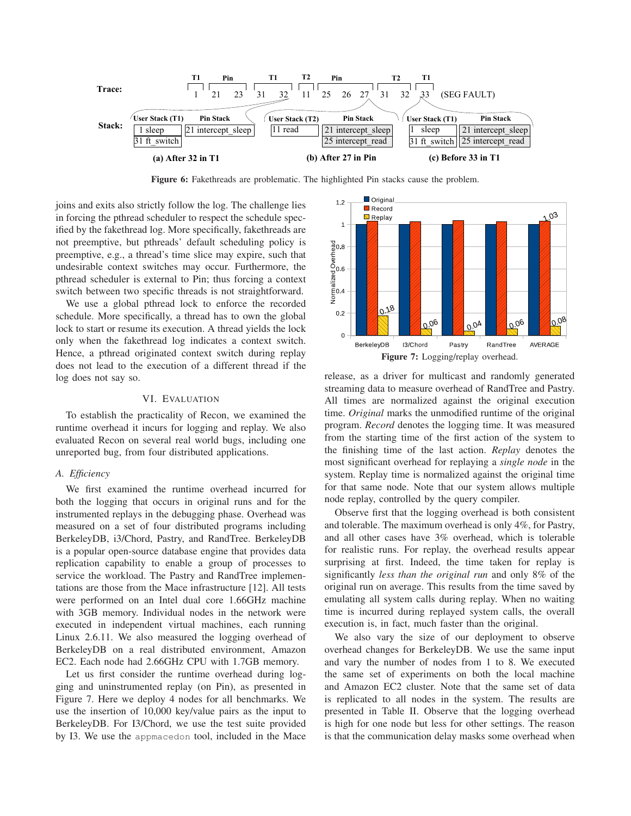

**Figure 6:** Fakethreads are problematic. The highlighted Pin stacks cause the problem.

joins and exits also strictly follow the log. The challenge lies in forcing the pthread scheduler to respect the schedule specified by the fakethread log. More specifically, fakethreads are not preemptive, but pthreads' default scheduling policy is preemptive, e.g., a thread's time slice may expire, such that undesirable context switches may occur. Furthermore, the pthread scheduler is external to Pin; thus forcing a context switch between two specific threads is not straightforward.

We use a global pthread lock to enforce the recorded schedule. More specifically, a thread has to own the global lock to start or resume its execution. A thread yields the lock only when the fakethread log indicates a context switch. Hence, a pthread originated context switch during replay does not lead to the execution of a different thread if the log does not say so.

## VI. EVALUATION

To establish the practicality of Recon, we examined the runtime overhead it incurs for logging and replay. We also evaluated Recon on several real world bugs, including one unreported bug, from four distributed applications.

### *A. Efficiency*

We first examined the runtime overhead incurred for both the logging that occurs in original runs and for the instrumented replays in the debugging phase. Overhead was measured on a set of four distributed programs including BerkeleyDB, i3/Chord, Pastry, and RandTree. BerkeleyDB is a popular open-source database engine that provides data replication capability to enable a group of processes to service the workload. The Pastry and RandTree implementations are those from the Mace infrastructure [12]. All tests were performed on an Intel dual core 1.66GHz machine with 3GB memory. Individual nodes in the network were executed in independent virtual machines, each running Linux 2.6.11. We also measured the logging overhead of BerkeleyDB on a real distributed environment, Amazon EC2. Each node had 2.66GHz CPU with 1.7GB memory.

Let us first consider the runtime overhead during logging and uninstrumented replay (on Pin), as presented in Figure 7. Here we deploy 4 nodes for all benchmarks. We use the insertion of 10,000 key/value pairs as the input to BerkeleyDB. For I3/Chord, we use the test suite provided by I3. We use the appmacedon tool, included in the Mace



release, as a driver for multicast and randomly generated streaming data to measure overhead of RandTree and Pastry. All times are normalized against the original execution time. *Original* marks the unmodified runtime of the original program. *Record* denotes the logging time. It was measured from the starting time of the first action of the system to the finishing time of the last action. *Replay* denotes the most significant overhead for replaying a *single node* in the system. Replay time is normalized against the original time for that same node. Note that our system allows multiple node replay, controlled by the query compiler.

Observe first that the logging overhead is both consistent and tolerable. The maximum overhead is only 4%, for Pastry, and all other cases have 3% overhead, which is tolerable for realistic runs. For replay, the overhead results appear surprising at first. Indeed, the time taken for replay is significantly *less than the original run* and only 8% of the original run on average. This results from the time saved by emulating all system calls during replay. When no waiting time is incurred during replayed system calls, the overall execution is, in fact, much faster than the original.

We also vary the size of our deployment to observe overhead changes for BerkeleyDB. We use the same input and vary the number of nodes from 1 to 8. We executed the same set of experiments on both the local machine and Amazon EC2 cluster. Note that the same set of data is replicated to all nodes in the system. The results are presented in Table II. Observe that the logging overhead is high for one node but less for other settings. The reason is that the communication delay masks some overhead when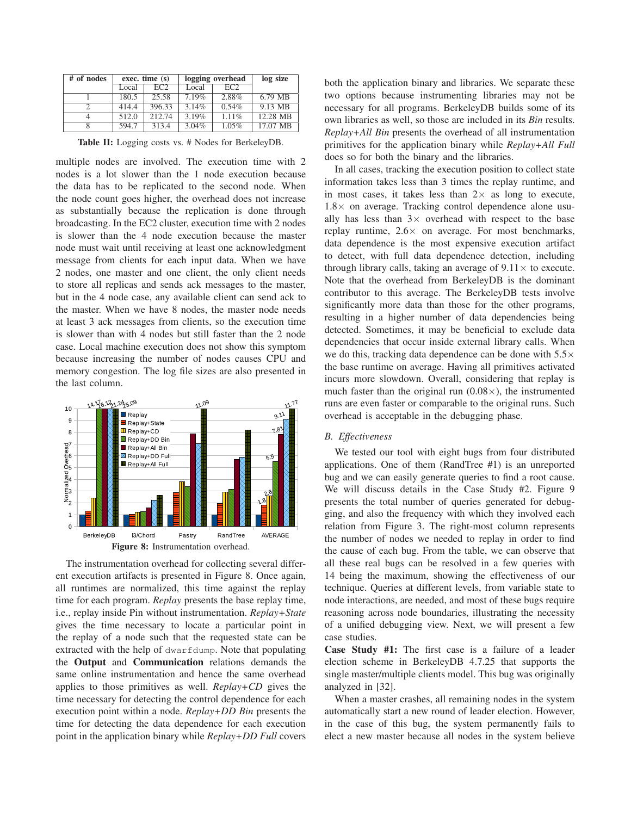| # of nodes | exec. time(s) |                 | logging overhead | log size |          |  |
|------------|---------------|-----------------|------------------|----------|----------|--|
|            | Local         | EC <sub>2</sub> | Local            | EC2      |          |  |
|            | 180.5         | 25.58           | 7.19%            | 2.88%    | 6.79 MB  |  |
|            | 414.4         | 396.33          | 3.14%            | 0.54%    | 9.13 MB  |  |
|            | 512.0         | 212.74          | 3.19%            | $1.11\%$ | 12.28 MB |  |
|            | 594.7         | 313.4           | 3.04%            | 1.05%    | 17.07 MB |  |

**Table II:** Logging costs vs. # Nodes for BerkeleyDB.

multiple nodes are involved. The execution time with 2 nodes is a lot slower than the 1 node execution because the data has to be replicated to the second node. When the node count goes higher, the overhead does not increase as substantially because the replication is done through broadcasting. In the EC2 cluster, execution time with 2 nodes is slower than the 4 node execution because the master node must wait until receiving at least one acknowledgment message from clients for each input data. When we have 2 nodes, one master and one client, the only client needs to store all replicas and sends ack messages to the master, but in the 4 node case, any available client can send ack to the master. When we have 8 nodes, the master node needs at least 3 ack messages from clients, so the execution time is slower than with 4 nodes but still faster than the 2 node case. Local machine execution does not show this symptom because increasing the number of nodes causes CPU and memory congestion. The log file sizes are also presented in the last column.



The instrumentation overhead for collecting several different execution artifacts is presented in Figure 8. Once again, all runtimes are normalized, this time against the replay time for each program. *Replay* presents the base replay time, i.e., replay inside Pin without instrumentation. *Replay+State* gives the time necessary to locate a particular point in the replay of a node such that the requested state can be extracted with the help of dwarfdump. Note that populating the **Output** and **Communication** relations demands the same online instrumentation and hence the same overhead applies to those primitives as well. *Replay+CD* gives the time necessary for detecting the control dependence for each execution point within a node. *Replay+DD Bin* presents the time for detecting the data dependence for each execution point in the application binary while *Replay+DD Full* covers

both the application binary and libraries. We separate these two options because instrumenting libraries may not be necessary for all programs. BerkeleyDB builds some of its own libraries as well, so those are included in its *Bin* results. *Replay+All Bin* presents the overhead of all instrumentation primitives for the application binary while *Replay+All Full* does so for both the binary and the libraries.

In all cases, tracking the execution position to collect state information takes less than 3 times the replay runtime, and in most cases, it takes less than  $2 \times$  as long to execute,  $1.8\times$  on average. Tracking control dependence alone usually has less than  $3\times$  overhead with respect to the base replay runtime,  $2.6 \times$  on average. For most benchmarks, data dependence is the most expensive execution artifact to detect, with full data dependence detection, including through library calls, taking an average of  $9.11 \times$  to execute. Note that the overhead from BerkeleyDB is the dominant contributor to this average. The BerkeleyDB tests involve significantly more data than those for the other programs, resulting in a higher number of data dependencies being detected. Sometimes, it may be beneficial to exclude data dependencies that occur inside external library calls. When we do this, tracking data dependence can be done with  $5.5\times$ the base runtime on average. Having all primitives activated incurs more slowdown. Overall, considering that replay is much faster than the original run  $(0.08 \times)$ , the instrumented runs are even faster or comparable to the original runs. Such overhead is acceptable in the debugging phase.

## *B. Effectiveness*

We tested our tool with eight bugs from four distributed applications. One of them (RandTree #1) is an unreported bug and we can easily generate queries to find a root cause. We will discuss details in the Case Study #2. Figure 9 presents the total number of queries generated for debugging, and also the frequency with which they involved each relation from Figure 3. The right-most column represents the number of nodes we needed to replay in order to find the cause of each bug. From the table, we can observe that all these real bugs can be resolved in a few queries with 14 being the maximum, showing the effectiveness of our technique. Queries at different levels, from variable state to node interactions, are needed, and most of these bugs require reasoning across node boundaries, illustrating the necessity of a unified debugging view. Next, we will present a few case studies.

**Case Study #1:** The first case is a failure of a leader election scheme in BerkeleyDB 4.7.25 that supports the single master/multiple clients model. This bug was originally analyzed in [32].

When a master crashes, all remaining nodes in the system automatically start a new round of leader election. However, in the case of this bug, the system permanently fails to elect a new master because all nodes in the system believe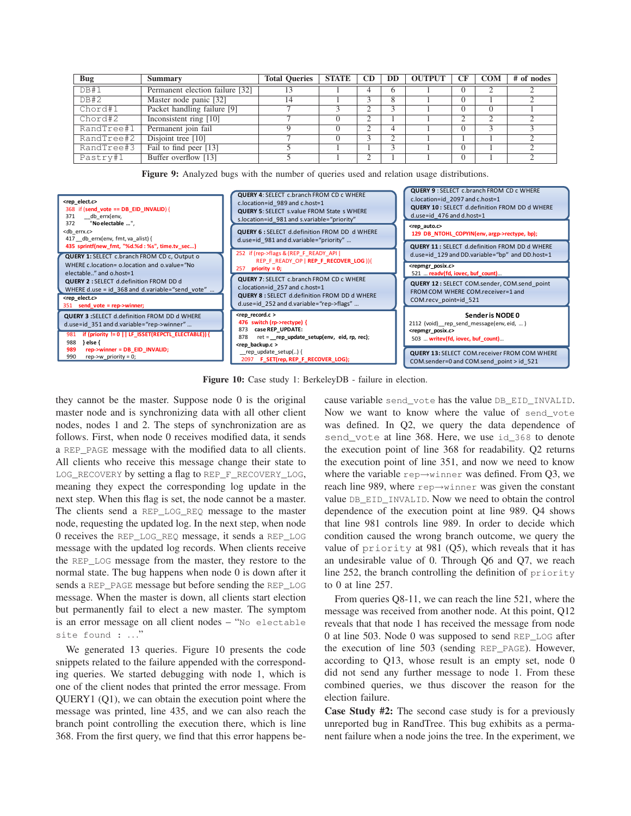| <b>Bug</b> | <b>Summary</b>                  | <b>Total Queries</b> | STATE | CD. | DD           | <b>OUTPUT</b> | CF        | <b>COM</b> | # of nodes |
|------------|---------------------------------|----------------------|-------|-----|--------------|---------------|-----------|------------|------------|
| DB#1       | Permanent election failure [32] |                      |       |     | <sub>(</sub> |               |           |            |            |
| DB#2       | Master node panic [32]          | 14                   |       |     | 8            |               |           |            |            |
| Chord#1    | Packet handling failure [9]     |                      |       |     |              |               |           |            |            |
| Chord#2    | Inconsistent ring $[10]$        |                      |       |     |              |               | $\bigcap$ |            |            |
| RandTree#1 | Permanent join fail             |                      |       |     |              |               |           |            |            |
| RandTree#2 | Disjoint tree $[10]$            |                      |       |     |              |               |           |            |            |
| RandTree#3 | Fail to find peer [13]          |                      |       |     |              |               |           |            |            |
| Pastry#1   | Buffer overflow [13]            |                      |       |     |              |               |           |            |            |

**Figure 9:** Analyzed bugs with the number of queries used and relation usage distributions.



**Figure 10:** Case study 1: BerkeleyDB - failure in election.

they cannot be the master. Suppose node 0 is the original master node and is synchronizing data with all other client nodes, nodes 1 and 2. The steps of synchronization are as follows. First, when node 0 receives modified data, it sends a REP\_PAGE message with the modified data to all clients. All clients who receive this message change their state to LOG\_RECOVERY by setting a flag to REP\_F\_RECOVERY\_LOG, meaning they expect the corresponding log update in the next step. When this flag is set, the node cannot be a master. The clients send a REP\_LOG\_REQ message to the master node, requesting the updated log. In the next step, when node 0 receives the REP\_LOG\_REQ message, it sends a REP\_LOG message with the updated log records. When clients receive the REP\_LOG message from the master, they restore to the normal state. The bug happens when node 0 is down after it sends a REP\_PAGE message but before sending the REP\_LOG message. When the master is down, all clients start election but permanently fail to elect a new master. The symptom is an error message on all client nodes – "No electable site found : ..."

We generated 13 queries. Figure 10 presents the code snippets related to the failure appended with the corresponding queries. We started debugging with node 1, which is one of the client nodes that printed the error message. From QUERY1 (Q1), we can obtain the execution point where the message was printed, line 435, and we can also reach the branch point controlling the execution there, which is line 368. From the first query, we find that this error happens because variable send\_vote has the value DB\_EID\_INVALID. Now we want to know where the value of send vote was defined. In Q2, we query the data dependence of send\_vote at line 368. Here, we use id\_368 to denote the execution point of line 368 for readability. Q2 returns the execution point of line 351, and now we need to know where the variable rep→winner was defined. From Q3, we reach line 989, where rep→winner was given the constant value DB\_EID\_INVALID. Now we need to obtain the control dependence of the execution point at line 989. Q4 shows that line 981 controls line 989. In order to decide which condition caused the wrong branch outcome, we query the value of priority at 981 (Q5), which reveals that it has an undesirable value of 0. Through Q6 and Q7, we reach line 252, the branch controlling the definition of priority to 0 at line 257.

From queries Q8-11, we can reach the line 521, where the message was received from another node. At this point, Q12 reveals that that node 1 has received the message from node 0 at line 503. Node 0 was supposed to send REP\_LOG after the execution of line 503 (sending REP\_PAGE). However, according to Q13, whose result is an empty set, node 0 did not send any further message to node 1. From these combined queries, we thus discover the reason for the election failure.

**Case Study #2:** The second case study is for a previously unreported bug in RandTree. This bug exhibits as a permanent failure when a node joins the tree. In the experiment, we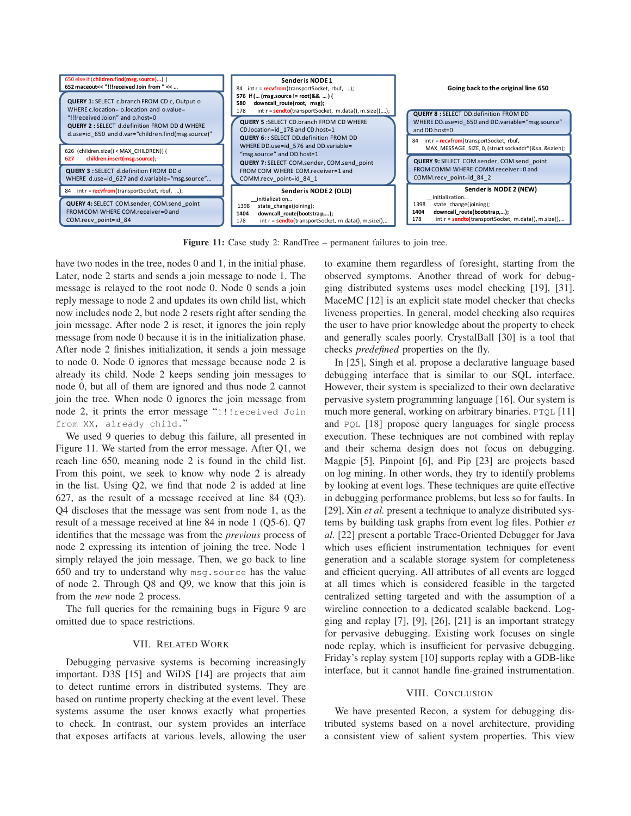

Figure 11: Case study 2: RandTree – permanent failures to join tree.

have two nodes in the tree, nodes 0 and 1, in the initial phase. Later, node 2 starts and sends a join message to node 1. The message is relayed to the root node 0. Node 0 sends a join reply message to node 2 and updates its own child list, which now includes node 2, but node 2 resets right after sending the join message. After node 2 is reset, it ignores the join reply message from node 0 because it is in the initialization phase. After node 2 finishes initialization, it sends a join message to node 0. Node 0 ignores that message because node 2 is already its child. Node 2 keeps sending join messages to node 0, but all of them are ignored and thus node 2 cannot join the tree. When node 0 ignores the join message from node 2, it prints the error message "!!!received Join from XX, already child."

We used 9 queries to debug this failure, all presented in Figure 11. We started from the error message. After Q1, we reach line 650, meaning node 2 is found in the child list. From this point, we seek to know why node 2 is already in the list. Using Q2, we find that node 2 is added at line 627, as the result of a message received at line 84 (Q3). Q4 discloses that the message was sent from node 1, as the result of a message received at line 84 in node 1 (Q5-6). Q7 identifies that the message was from the *previous* process of node 2 expressing its intention of joining the tree. Node 1 simply relayed the join message. Then, we go back to line 650 and try to understand why msg.source has the value of node 2. Through Q8 and Q9, we know that this join is from the *new* node 2 process.

The full queries for the remaining bugs in Figure 9 are omitted due to space restrictions.

## VII. RELATED WORK

Debugging pervasive systems is becoming increasingly important. D3S [15] and WiDS [14] are projects that aim to detect runtime errors in distributed systems. They are based on runtime property checking at the event level. These systems assume the user knows exactly what properties to check. In contrast, our system provides an interface that exposes artifacts at various levels, allowing the user to examine them regardless of foresight, starting from the observed symptoms. Another thread of work for debugging distributed systems uses model checking [19], [31]. MaceMC [12] is an explicit state model checker that checks liveness properties. In general, model checking also requires the user to have prior knowledge about the property to check and generally scales poorly. CrystalBall [30] is a tool that checks *predefined* properties on the fly.

In [25], Singh et al. propose a declarative language based debugging interface that is similar to our SQL interface. However, their system is specialized to their own declarative pervasive system programming language [16]. Our system is much more general, working on arbitrary binaries. PTQL [11] and PQL [18] propose query languages for single process execution. These techniques are not combined with replay and their schema design does not focus on debugging. Magpie [5], Pinpoint [6], and Pip [23] are projects based on log mining. In other words, they try to identify problems by looking at event logs. These techniques are quite effective in debugging performance problems, but less so for faults. In [29], Xin *et al.* present a technique to analyze distributed systems by building task graphs from event log files. Pothier *et al.* [22] present a portable Trace-Oriented Debugger for Java which uses efficient instrumentation techniques for event generation and a scalable storage system for completeness and efficient querying. All attributes of all events are logged at all times which is considered feasible in the targeted centralized setting targeted and with the assumption of a wireline connection to a dedicated scalable backend. Logging and replay [7], [9], [26], [21] is an important strategy for pervasive debugging. Existing work focuses on single node replay, which is insufficient for pervasive debugging. Friday's replay system [10] supports replay with a GDB-like interface, but it cannot handle fine-grained instrumentation.

#### VIII. CONCLUSION

We have presented Recon, a system for debugging distributed systems based on a novel architecture, providing a consistent view of salient system properties. This view